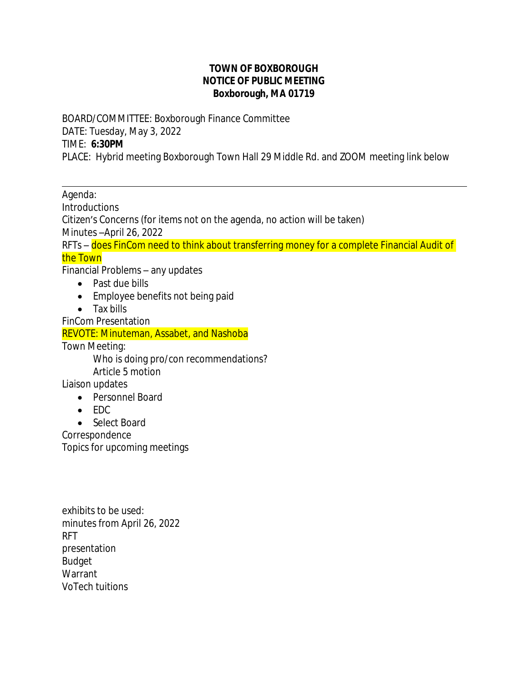## **TOWN OF BOXBOROUGH NOTICE OF PUBLIC MEETING Boxborough, MA 01719**

BOARD/COMMITTEE: Boxborough Finance Committee DATE: Tuesday, May 3, 2022 TIME: **6:30PM** PLACE: Hybrid meeting Boxborough Town Hall 29 Middle Rd. and ZOOM meeting link below

 $\overline{a}$ Agenda: **Introductions** Citizen's Concerns (for items not on the agenda, no action will be taken) Minutes –April 26, 2022 RFTs – does FinCom need to think about transferring money for a complete Financial Audit of the Town Financial Problems – any updates • Past due bills • Employee benefits not being paid • Tax bills FinCom Presentation REVOTE: Minuteman, Assabet, and Nashoba Town Meeting: Who is doing pro/con recommendations? Article 5 motion Liaison updates • Personnel Board  $\bullet$  FDC • Select Board Correspondence

Topics for upcoming meetings

exhibits to be used: minutes from April 26, 2022 RFT presentation Budget Warrant VoTech tuitions